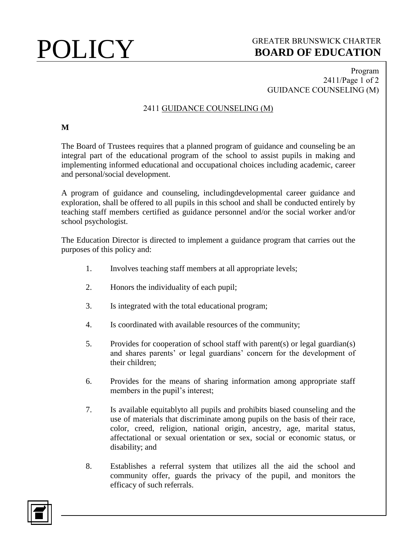## **POLICY** GREATER BRUNSWICK CHARTER<br>BOARD OF EDUCATION **BOARD OF EDUCATION**

### Program 2411/Page 1 of 2 GUIDANCE COUNSELING (M)

### 2411 GUIDANCE COUNSELING (M)

### **M**

The Board of Trustees requires that a planned program of guidance and counseling be an integral part of the educational program of the school to assist pupils in making and implementing informed educational and occupational choices including academic, career and personal/social development.

A program of guidance and counseling, includingdevelopmental career guidance and exploration, shall be offered to all pupils in this school and shall be conducted entirely by teaching staff members certified as guidance personnel and/or the social worker and/or school psychologist.

The Education Director is directed to implement a guidance program that carries out the purposes of this policy and:

- 1. Involves teaching staff members at all appropriate levels;
- 2. Honors the individuality of each pupil;
- 3. Is integrated with the total educational program;
- 4. Is coordinated with available resources of the community;
- 5. Provides for cooperation of school staff with parent(s) or legal guardian(s) and shares parents' or legal guardians' concern for the development of their children;
- 6. Provides for the means of sharing information among appropriate staff members in the pupil's interest;
- 7. Is available equitablyto all pupils and prohibits biased counseling and the use of materials that discriminate among pupils on the basis of their race, color, creed, religion, national origin, ancestry, age, marital status, affectational or sexual orientation or sex, social or economic status, or disability; and
- 8. Establishes a referral system that utilizes all the aid the school and community offer, guards the privacy of the pupil, and monitors the efficacy of such referrals.